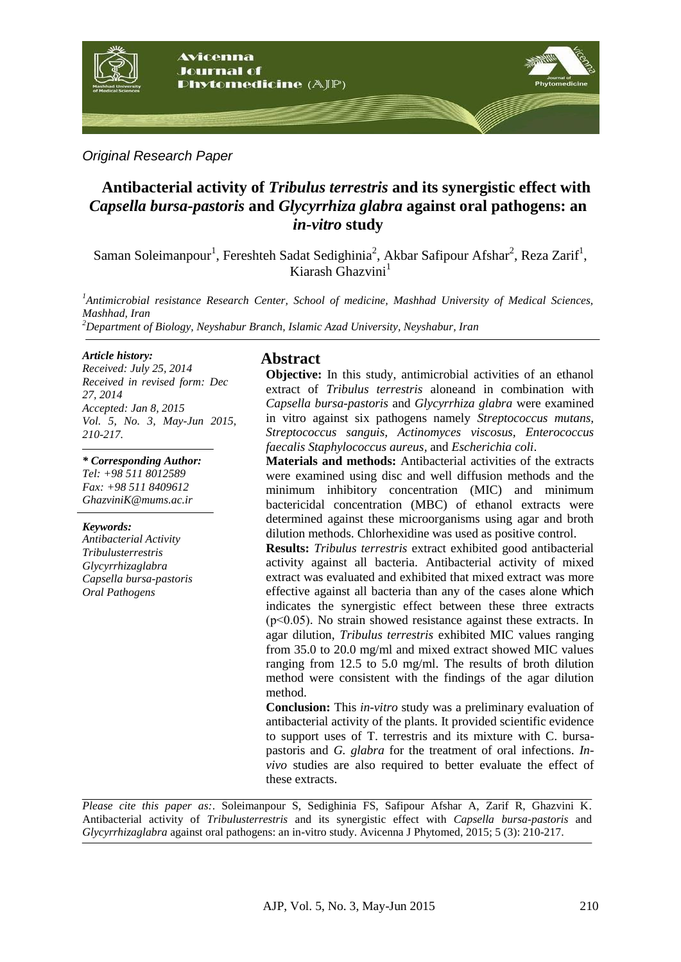

*Original Research Paper*

# **Antibacterial activity of** *Tribulus terrestris* **and its synergistic effect with**  *Capsella bursa-pastoris* **and** *Glycyrrhiza glabra* **against oral pathogens: an**  *in-vitro* **study**

Saman Soleimanpour<sup>1</sup>, Fereshteh Sadat Sedighinia<sup>2</sup>, Akbar Safipour Afshar<sup>2</sup>, Reza Zarif<sup>1</sup>, Kiarash  $G$ hazvini $<sup>1</sup>$ </sup>

*1 Antimicrobial resistance Research Center, School of medicine, Mashhad University of Medical Sciences, Mashhad, Iran* 

*<sup>2</sup>Department of Biology, Neyshabur Branch, Islamic Azad University, Neyshabur, Iran*

#### *Article history:*

*Received: July 25, 2014 Received in revised form: Dec 27, 2014 Accepted: Jan 8, 2015 Vol. 5, No. 3, May-Jun 2015, 210-217.*

#### *\* Corresponding Author:*

*Tel: +98 511 8012589 Fax: +98 511 8409612 GhazviniK@mums.ac.ir*

#### *Keywords:*

*Antibacterial Activity Tribulusterrestris Glycyrrhizaglabra Capsella bursa-pastoris Oral Pathogens*

### **Abstract**

**Objective:** In this study, antimicrobial activities of an ethanol extract of *Tribulus terrestris* aloneand in combination with *Capsella bursa-pastoris* and *Glycyrrhiza glabra* were examined in vitro against six pathogens namely *Streptococcus mutans, Streptococcus sanguis, Actinomyces viscosus, Enterococcus faecalis Staphylococcus aureus,* and *Escherichia coli*.

**Materials and methods:** Antibacterial activities of the extracts were examined using disc and well diffusion methods and the minimum inhibitory concentration (MIC) and minimum bactericidal concentration (MBC) of ethanol extracts were determined against these microorganisms using agar and broth dilution methods. Chlorhexidine was used as positive control.

**Results:** *Tribulus terrestris* extract exhibited good antibacterial activity against all bacteria. Antibacterial activity of mixed extract was evaluated and exhibited that mixed extract was more effective against all bacteria than any of the cases alone which indicates the synergistic effect between these three extracts  $(p<0.05)$ . No strain showed resistance against these extracts. In agar dilution, *Tribulus terrestris* exhibited MIC values ranging from 35.0 to 20.0 mg/ml and mixed extract showed MIC values ranging from 12.5 to 5.0 mg/ml. The results of broth dilution method were consistent with the findings of the agar dilution method.

**Conclusion:** This *in-vitro* study was a preliminary evaluation of antibacterial activity of the plants. It provided scientific evidence to support uses of T. terrestris and its mixture with C. bursapastoris and *G. glabra* for the treatment of oral infections. *Invivo* studies are also required to better evaluate the effect of these extracts.

*Please cite this paper as:*. Soleimanpour S, Sedighinia FS, Safipour Afshar A, Zarif R, Ghazvini K. Antibacterial activity of *Tribulusterrestris* and its synergistic effect with *Capsella bursa-pastoris* and *Glycyrrhizaglabra* against oral pathogens: an in-vitro study. Avicenna J Phytomed, 2015; 5 (3): 210-217.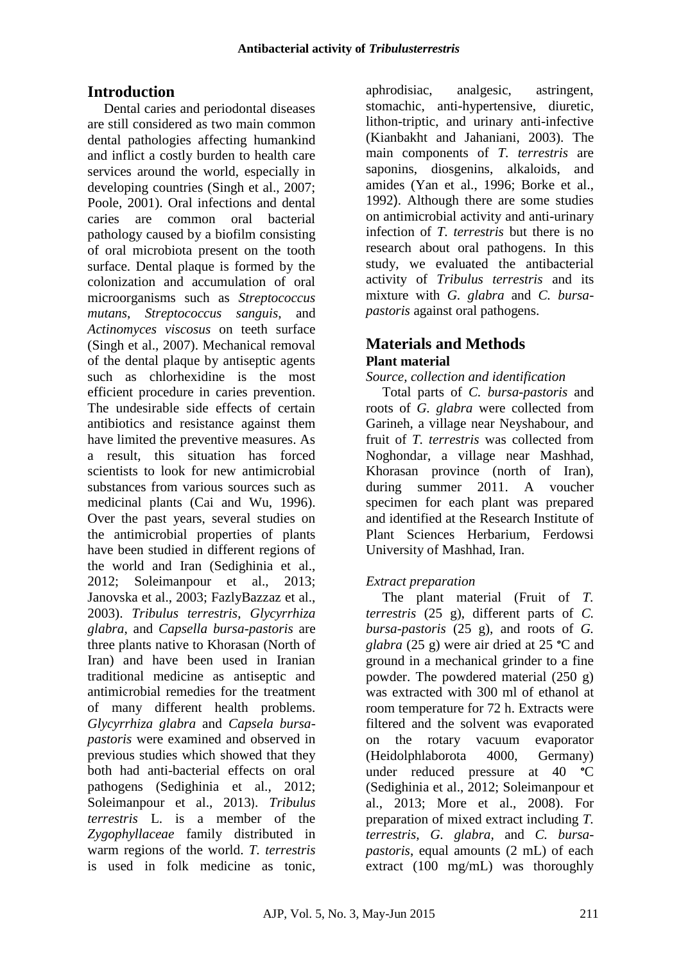# **Introduction**

Dental caries and periodontal diseases are still considered as two main common dental pathologies affecting humankind and inflict a costly burden to health care services around the world, especially in developing countries (Singh et al., 2007; Poole, 2001). Oral infections and dental caries are common oral bacterial pathology caused by a biofilm consisting of oral microbiota present on the tooth surface. Dental plaque is formed by the colonization and accumulation of oral microorganisms such as *Streptococcus mutans*, *Streptococcus sanguis*, and *Actinomyces viscosus* on teeth surface (Singh et al., 2007). Mechanical removal of the dental plaque by antiseptic agents such as chlorhexidine is the most efficient procedure in caries prevention. The undesirable side effects of certain antibiotics and resistance against them have limited the preventive measures. As a result, this situation has forced scientists to look for new antimicrobial substances from various sources such as medicinal plants (Cai and Wu, 1996). Over the past years, several studies on the antimicrobial properties of plants have been studied in different regions of the world and Iran (Sedighinia et al., 2012; Soleimanpour et al., 2013; Janovska et al., 2003; FazlyBazzaz et al., 2003). *Tribulus terrestris*, *Glycyrrhiza glabra*, and *Capsella bursa-pastoris* are three plants native to Khorasan (North of Iran) and have been used in Iranian traditional medicine as antiseptic and antimicrobial remedies for the treatment of many different health problems. *Glycyrrhiza glabra* and *Capsela bursapastoris* were examined and observed in previous studies which showed that they both had anti-bacterial effects on oral pathogens (Sedighinia et al., 2012; Soleimanpour et al., 2013). *Tribulus terrestris* L. is a member of the *Zygophyllaceae* family distributed in warm regions of the world. *T. terrestris* is used in folk medicine as tonic,

aphrodisiac, analgesic, astringent, stomachic, anti-hypertensive, diuretic, lithon-triptic, and urinary anti-infective (Kianbakht and Jahaniani, 2003). The main components of *T. terrestris* are saponins, diosgenins, alkaloids, and amides (Yan et al., 1996; Borke et al., 1992). Although there are some studies on antimicrobial activity and anti-urinary infection of *T. terrestris* but there is no research about oral pathogens. In this study, we evaluated the antibacterial activity of *Tribulus terrestris* and its mixture with *G. glabra* and *C. bursapastoris* against oral pathogens.

# **Materials and Methods Plant material**

### *Source, collection and identification*

Total parts of *C. bursa-pastoris* and roots of *G. glabra* were collected from Garineh, a village near Neyshabour, and fruit of *T. terrestris* was collected from Noghondar, a village near Mashhad, Khorasan province (north of Iran), during summer 2011. A voucher specimen for each plant was prepared and identified at the Research Institute of Plant Sciences Herbarium, Ferdowsi University of Mashhad, Iran.

# *Extract preparation*

The plant material (Fruit of *T. terrestris* (25 g), different parts of *C. bursa-pastoris* (25 g), and roots of *G. glabra* (25 g) were air dried at 25 **°**C and ground in a mechanical grinder to a fine powder. The powdered material (250 g) was extracted with 300 ml of ethanol at room temperature for 72 h. Extracts were filtered and the solvent was evaporated on the rotary vacuum evaporator (Heidolphlaborota 4000, Germany) under reduced pressure at 40 **°**C (Sedighinia et al., 2012; Soleimanpour et al., 2013; More et al., 2008). For preparation of mixed extract including *T. terrestris, G. glabra,* and *C. bursapastoris*, equal amounts (2 mL) of each extract (100 mg/mL) was thoroughly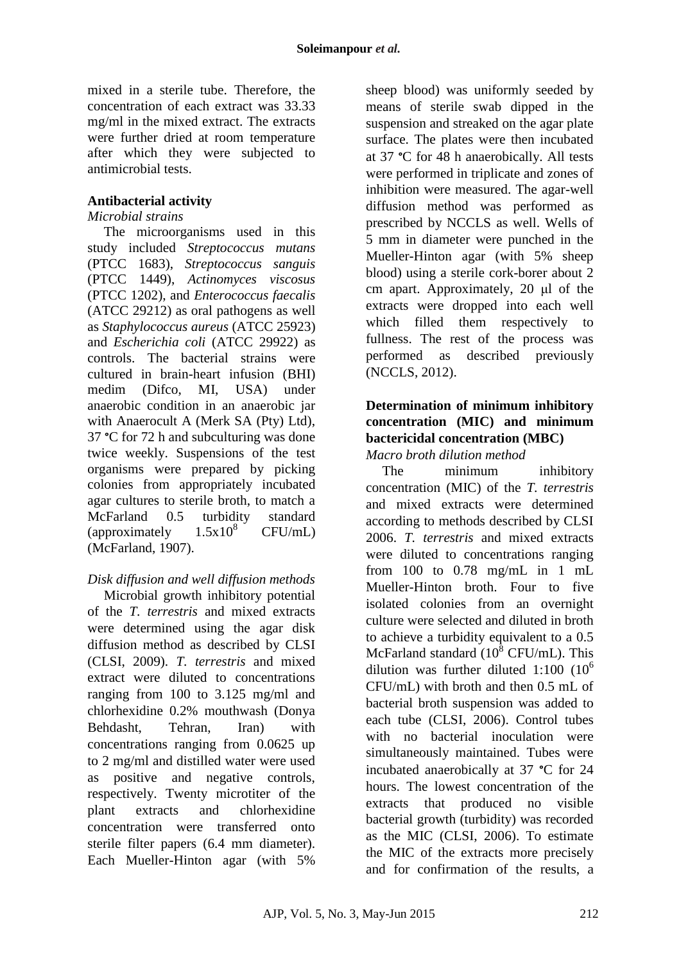mixed in a sterile tube. Therefore, the concentration of each extract was 33.33 mg/ml in the mixed extract. The extracts were further dried at room temperature after which they were subjected to antimicrobial tests.

#### **Antibacterial activity**

#### *Microbial strains*

The microorganisms used in this study included *Streptococcus mutans*  (PTCC 1683), *Streptococcus sanguis*  (PTCC 1449), *Actinomyces viscosus*  (PTCC 1202), and *Enterococcus faecalis*  (ATCC 29212) as oral pathogens as well as *Staphylococcus aureus* (ATCC 25923) and *Escherichia coli* (ATCC 29922) as controls. The bacterial strains were cultured in brain-heart infusion (BHI) medim (Difco, MI, USA) under anaerobic condition in an anaerobic jar with Anaerocult A (Merk SA (Pty) Ltd), 37 **°**C for 72 h and subculturing was done twice weekly. Suspensions of the test organisms were prepared by picking colonies from appropriately incubated agar cultures to sterile broth, to match a McFarland 0.5 turbidity standard<br>
(approximately  $1.5 \times 10^8$  CFU/mL) (approximately  $1.5x10^8$  CFU/mL) (McFarland, 1907).

# *Disk diffusion and well diffusion methods*

Microbial growth inhibitory potential of the *T. terrestris* and mixed extracts were determined using the agar disk diffusion method as described by CLSI (CLSI, 2009). *T. terrestris* and mixed extract were diluted to concentrations ranging from 100 to 3.125 mg/ml and chlorhexidine 0.2% mouthwash (Donya Behdasht, Tehran, Iran) with concentrations ranging from 0.0625 up to 2 mg/ml and distilled water were used as positive and negative controls, respectively. Twenty microtiter of the plant extracts and chlorhexidine concentration were transferred onto sterile filter papers (6.4 mm diameter). Each Mueller-Hinton agar (with 5%

sheep blood) was uniformly seeded by means of sterile swab dipped in the suspension and streaked on the agar plate surface. The plates were then incubated at 37 **°**C for 48 h anaerobically. All tests were performed in triplicate and zones of inhibition were measured. The agar-well diffusion method was performed as prescribed by NCCLS as well. Wells of 5 mm in diameter were punched in the Mueller-Hinton agar (with 5% sheep blood) using a sterile cork-borer about 2 cm apart. Approximately, 20 μl of the extracts were dropped into each well which filled them respectively to fullness. The rest of the process was performed as described previously (NCCLS, 2012).

# **Determination of minimum inhibitory concentration (MIC) and minimum bactericidal concentration (MBC)**

*Macro broth dilution method*

The minimum inhibitory concentration (MIC) of the *T. terrestris* and mixed extracts were determined according to methods described by CLSI 2006. *T. terrestris* and mixed extracts were diluted to concentrations ranging from 100 to 0.78 mg/mL in 1 mL Mueller-Hinton broth. Four to five isolated colonies from an overnight culture were selected and diluted in broth to achieve a turbidity equivalent to a 0.5 McFarland standard  $(10^8 \text{ CFU/mL})$ . This dilution was further diluted  $1:100$  ( $10<sup>6</sup>$ ) CFU/mL) with broth and then 0.5 mL of bacterial broth suspension was added to each tube (CLSI, 2006). Control tubes with no bacterial inoculation were simultaneously maintained. Tubes were incubated anaerobically at 37 **°**C for 24 hours. The lowest concentration of the extracts that produced no visible bacterial growth (turbidity) was recorded as the MIC (CLSI, 2006). To estimate the MIC of the extracts more precisely and for confirmation of the results, a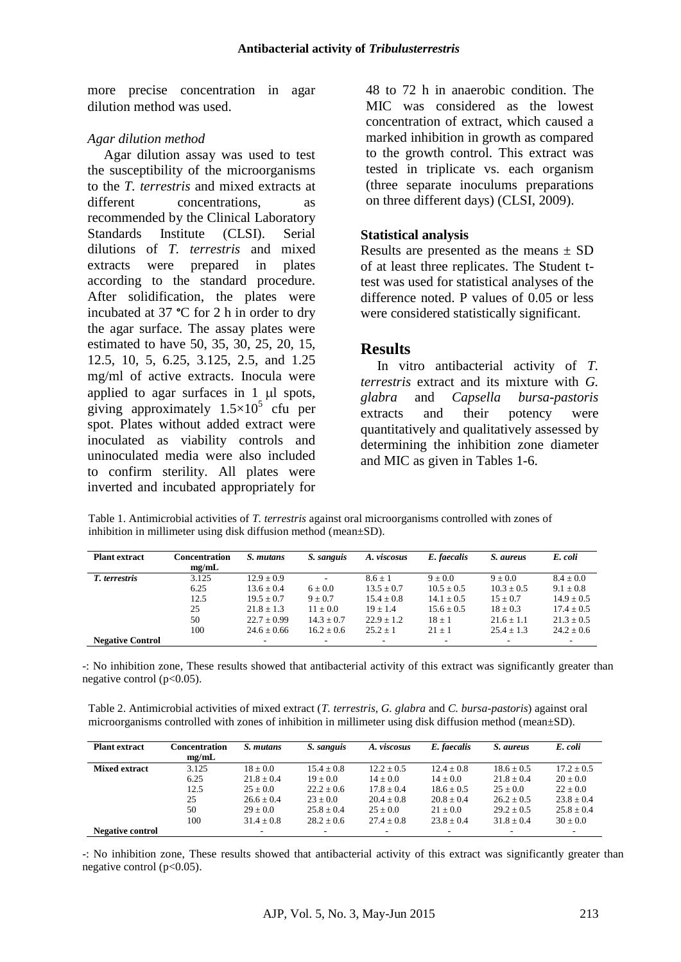more precise concentration in agar dilution method was used.

#### *Agar dilution method*

Agar dilution assay was used to test the susceptibility of the microorganisms to the *T. terrestris* and mixed extracts at different concentrations, as recommended by the Clinical Laboratory Standards Institute (CLSI). Serial dilutions of *T. terrestris* and mixed extracts were prepared in plates according to the standard procedure. After solidification, the plates were incubated at 37 **°**C for 2 h in order to dry the agar surface. The assay plates were estimated to have 50, 35, 30, 25, 20, 15, 12.5, 10, 5, 6.25, 3.125, 2.5, and 1.25 mg/ml of active extracts. Inocula were applied to agar surfaces in  $1 \mu l$  spots, giving approximately  $1.5 \times 10^5$  cfu per spot. Plates without added extract were inoculated as viability controls and uninoculated media were also included to confirm sterility. All plates were inverted and incubated appropriately for 48 to 72 h in anaerobic condition. The MIC was considered as the lowest concentration of extract, which caused a marked inhibition in growth as compared to the growth control. This extract was tested in triplicate vs. each organism (three separate inoculums preparations on three different days) (CLSI, 2009).

#### **Statistical analysis**

Results are presented as the means  $\pm$  SD of at least three replicates. The Student ttest was used for statistical analyses of the difference noted. P values of 0.05 or less were considered statistically significant.

### **Results**

In vitro antibacterial activity of *T. terrestris* extract and its mixture with *G. glabra* and *Capsella bursa-pastoris* extracts and their potency were quantitatively and qualitatively assessed by determining the inhibition zone diameter and MIC as given in Tables 1-6.

Table 1. Antimicrobial activities of *T. terrestris* against oral microorganisms controlled with zones of inhibition in millimeter using disk diffusion method (mean±SD).

| <b>Plant extract</b>    | <b>Concentration</b> | S. mutans       | S. sanguis               | A. viscosus    | E. faecalis    | S. aureus      | E. coli        |
|-------------------------|----------------------|-----------------|--------------------------|----------------|----------------|----------------|----------------|
|                         | me/mL                |                 |                          |                |                |                |                |
| T. terrestris           | 3.125                | $12.9 \pm 0.9$  | $\overline{\phantom{a}}$ | $8.6 + 1$      | $9 + 0.0$      | $9 + 0.0$      | $8.4 \pm 0.0$  |
|                         | 6.25                 | $13.6 \pm 0.4$  | $6 \pm 0.0$              | $13.5 \pm 0.7$ | $10.5 \pm 0.5$ | $10.3 \pm 0.5$ | $9.1 \pm 0.8$  |
|                         | 12.5                 | $19.5 + 0.7$    | $9 + 0.7$                | $15.4 + 0.8$   | $14.1 \pm 0.5$ | $15 + 0.7$     | $14.9 \pm 0.5$ |
|                         | 25                   | $21.8 + 1.3$    | $11 + 0.0$               | $19 + 1.4$     | $15.6 \pm 0.5$ | $18 + 0.3$     | $17.4 \pm 0.5$ |
|                         | 50                   | $22.7 \pm 0.99$ | $14.3 \pm 0.7$           | $22.9 + 1.2$   | $18 \pm 1$     | $21.6 \pm 1.1$ | $21.3 \pm 0.5$ |
|                         | 100                  | $24.6 + 0.66$   | $16.2 + 0.6$             | $25.2 + 1$     | $21 + 1$       | $25.4 + 1.3$   | $24.2 + 0.6$   |
| <b>Negative Control</b> |                      |                 |                          | ۰              |                |                |                |

-: No inhibition zone, These results showed that antibacterial activity of this extract was significantly greater than negative control  $(p<0.05)$ .

Table 2. Antimicrobial activities of mixed extract (*T. terrestris, G. glabra* and *C. bursa-pastoris*) against oral microorganisms controlled with zones of inhibition in millimeter using disk diffusion method (mean±SD).

| <b>Plant extract</b>    | Concentration<br>mg/mL | S. mutans    | S. sanguis   | A. viscosus  | E. faecalis    | S. aureus                | E. coli      |
|-------------------------|------------------------|--------------|--------------|--------------|----------------|--------------------------|--------------|
| <b>Mixed extract</b>    | 3.125                  | $18 + 0.0$   | $15.4 + 0.8$ | $12.2 + 0.5$ | $12.4 + 0.8$   | $18.6 + 0.5$             | $17.2 + 0.5$ |
|                         | 6.25                   | $21.8 + 0.4$ | $19 + 0.0$   | $14 + 0.0$   | $14 + 0.0$     | $21.8 + 0.4$             | $20 + 0.0$   |
|                         | 12.5                   | $25 + 0.0$   | $22.2 + 0.6$ | $17.8 + 0.4$ | $18.6 + 0.5$   | $25 + 0.0$               | $22 + 0.0$   |
|                         | 25                     | $26.6 + 0.4$ | $23 + 0.0$   | $20.4 + 0.8$ | $20.8 \pm 0.4$ | $26.2 + 0.5$             | $23.8 + 0.4$ |
|                         | 50                     | $29 + 0.0$   | $25.8 + 0.4$ | $25 + 0.0$   | $21 + 0.0$     | $29.2 + 0.5$             | $25.8 + 0.4$ |
|                         | 100                    | $31.4 + 0.8$ | $28.2 + 0.6$ | $27.4 + 0.8$ | $23.8 + 0.4$   | $31.8 + 0.4$             | $30 + 0.0$   |
| <b>Negative control</b> |                        |              | ۰            | -            | -              | $\overline{\phantom{a}}$ |              |

-: No inhibition zone, These results showed that antibacterial activity of this extract was significantly greater than negative control  $(p<0.05)$ .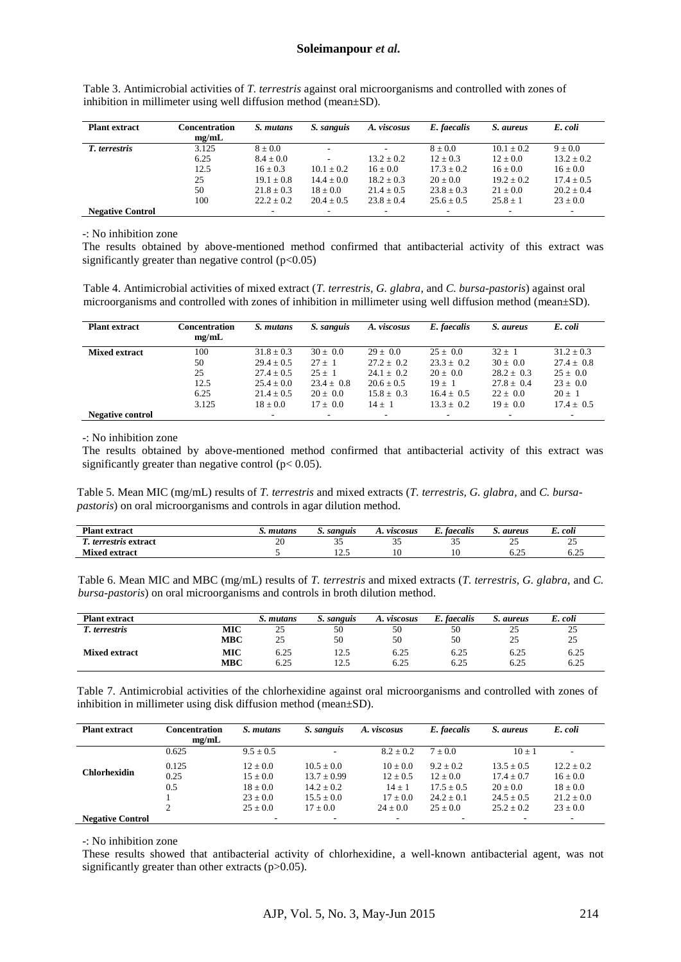| <b>Plant extract</b>    | <b>Concentration</b> | S. mutans                | S. sanguis   | A. viscosus              | E. faecalis    | S. aureus    | E. coli        |
|-------------------------|----------------------|--------------------------|--------------|--------------------------|----------------|--------------|----------------|
|                         | mg/mL                |                          |              |                          |                |              |                |
| T. terrestris           | 3.125                | $8 + 0.0$                |              |                          | $8 + 0.0$      | $10.1 + 0.2$ | $9 + 0.0$      |
|                         | 6.25                 | $8.4 \pm 0.0$            | $\sim$       | $13.2 \pm 0.2$           | $12 \pm 0.3$   | $12 + 0.0$   | $13.2 \pm 0.2$ |
|                         | 12.5                 | $16 + 0.3$               | $10.1 + 0.2$ | $16 + 0.0$               | $17.3 \pm 0.2$ | $16 + 0.0$   | $16 \pm 0.0$   |
|                         | 25                   | $19.1 \pm 0.8$           | $14.4 + 0.0$ | $18.2 + 0.3$             | $20 + 0.0$     | $19.2 + 0.2$ | $17.4 \pm 0.5$ |
|                         | 50                   | $21.8 \pm 0.3$           | $18 + 0.0$   | $21.4 + 0.5$             | $23.8 \pm 0.3$ | $21 + 0.0$   | $20.2 \pm 0.4$ |
|                         | 100                  | $22.2 + 0.2$             | $20.4 + 0.5$ | $23.8 + 0.4$             | $25.6 + 0.5$   | $25.8 + 1$   | $23 + 0.0$     |
| <b>Negative Control</b> |                      | $\overline{\phantom{a}}$ |              | $\overline{\phantom{a}}$ | ۰              |              | $\sim$         |

Table 3. Antimicrobial activities of *T. terrestris* against oral microorganisms and controlled with zones of inhibition in millimeter using well diffusion method (mean±SD).

-: No inhibition zone

The results obtained by above-mentioned method confirmed that antibacterial activity of this extract was significantly greater than negative control  $(p<0.05)$ 

Table 4. Antimicrobial activities of mixed extract (*T. terrestris, G. glabra,* and *C. bursa-pastoris*) against oral microorganisms and controlled with zones of inhibition in millimeter using well diffusion method (mean±SD).

| <b>Plant extract</b>    | <b>Concentration</b><br>mg/mL | S. mutans      | S. sanguis     | A. viscosus    | E. faecalis    | S. aureus      | E. coli        |
|-------------------------|-------------------------------|----------------|----------------|----------------|----------------|----------------|----------------|
| <b>Mixed extract</b>    | 100                           | $31.8 \pm 0.3$ | $30 + 0.0$     | $29 + 0.0$     | $25 + 0.0$     | $32 + 1$       | $31.2 + 0.3$   |
|                         | 50                            | $29.4 \pm 0.5$ | $27 + 1$       | $27.2 + 0.2$   | $23.3 \pm 0.2$ | $30 \pm 0.0$   | $27.4 \pm 0.8$ |
|                         | 25                            | $27.4 \pm 0.5$ | $25 + 1$       | $24.1 \pm 0.2$ | $20 + 0.0$     | $28.2 \pm 0.3$ | $25 + 0.0$     |
|                         | 12.5                          | $25.4 \pm 0.0$ | $23.4 \pm 0.8$ | $20.6 \pm 0.5$ | $19 + 1$       | $27.8 \pm 0.4$ | $23 \pm 0.0$   |
|                         | 6.25                          | $21.4 + 0.5$   | $20 + 0.0$     | $15.8 + 0.3$   | $16.4 + 0.5$   | $22 + 0.0$     | $20 + 1$       |
|                         | 3.125                         | $18 + 0.0$     | $17 + 0.0$     | $14 + 1$       | $13.3 + 0.2$   | $19 + 0.0$     | $17.4 \pm 0.5$ |
| <b>Negative control</b> |                               | $\sim$         | ۰              | $\sim$         | ۰              |                |                |

-: No inhibition zone

The results obtained by above-mentioned method confirmed that antibacterial activity of this extract was significantly greater than negative control ( $p < 0.05$ ).

Table 5. Mean MIC (mg/mL) results of *T. terrestris* and mixed extracts (*T. terrestris, G. glabra,* and *C. bursapastoris*) on oral microorganisms and controls in agar dilution method.

|                                                   | mutans<br>sanguis<br>$\cdot$ | viscosus | faecalis | aureus | . coli |
|---------------------------------------------------|------------------------------|----------|----------|--------|--------|
| $\Omega$<br>--<br><i>terrestris</i> extract<br>∠u | <u>.</u>                     | ັ້       | ◡        | --     | ن ک    |
| <b>Mixed extract</b>                              | ت کیل                        |          |          | 0.ZJ   | ∪.∠J   |

Table 6. Mean MIC and MBC (mg/mL) results of *T. terrestris* and mixed extracts (*T. terrestris, G. glabra,* and *C. bursa-pastoris*) on oral microorganisms and controls in broth dilution method.

| <b>Plant extract</b> |     | S. mutans   | S. sanguis | A. viscosus | E. faecalis | S. aureus | E. coli |
|----------------------|-----|-------------|------------|-------------|-------------|-----------|---------|
| l'. terrestris       | MIC | $\sim$<br>ت | 50         | 50          | 50          | 25        | 25      |
|                      | MBC | つら<br>ىمە   | 50         | 50          | 50          | 25        | 25      |
| <b>Mixed extract</b> | MIC | 6.25        | 12.5       | 6.25        | 6.25        | 6.25      | 6.25    |
|                      | MBC | 6.25        | 12.5       | 6.25        | 6.25        | 6.25      | 6.25    |

Table 7. Antimicrobial activities of the chlorhexidine against oral microorganisms and controlled with zones of inhibition in millimeter using disk diffusion method (mean±SD).

| <b>Plant extract</b>    | Concentration<br>me/mL | S. mutans   | S. sanguis               | A. viscosus   | E. faecalis              | S. aureus    | E. coli      |
|-------------------------|------------------------|-------------|--------------------------|---------------|--------------------------|--------------|--------------|
|                         | 0.625                  | $9.5 + 0.5$ | ۰.                       | $8.2 \pm 0.2$ | $7 + 0.0$                | $10 + 1$     |              |
| <b>Chlorhexidin</b>     | 0.125                  | $12 + 0.0$  | $10.5 + 0.0$             | $10 + 0.0$    | $9.2 + 0.2$              | $13.5 + 0.5$ | $12.2 + 0.2$ |
|                         | 0.25                   | $15 + 0.0$  | $13.7 + 0.99$            | $12 \pm 0.5$  | $12 + 0.0$               | $17.4 + 0.7$ | $16 \pm 0.0$ |
|                         | 0.5                    | $18 + 0.0$  | $14.2 + 0.2$             | $14 + 1$      | $17.5 + 0.5$             | $20 + 0.0$   | $18 \pm 0.0$ |
|                         |                        | $23 + 0.0$  | $15.5 + 0.0$             | $17 + 0.0$    | $24.2 + 0.1$             | $24.5 + 0.5$ | $21.2 + 0.0$ |
|                         |                        | $25 + 0.0$  | $17 + 0.0$               | $24 + 0.0$    | $25 + 0.0$               | $25.2 + 0.2$ | $23 + 0.0$   |
| <b>Negative Control</b> |                        |             | $\overline{\phantom{a}}$ | -             | $\overline{\phantom{a}}$ | ۰            |              |

-: No inhibition zone

These results showed that antibacterial activity of chlorhexidine, a well-known antibacterial agent, was not significantly greater than other extracts (p>0.05).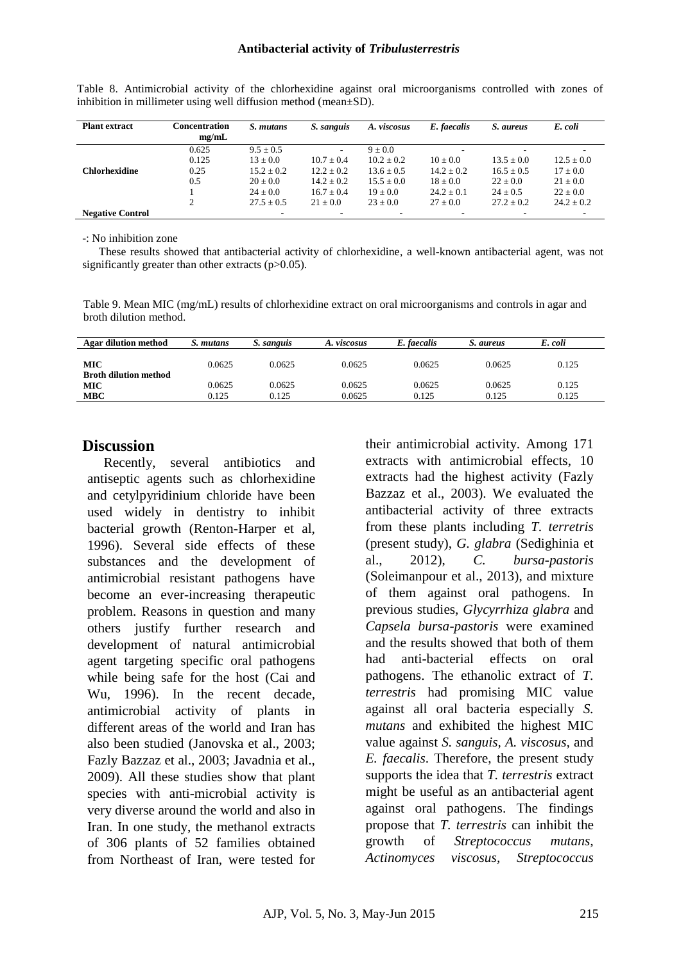| <b>Plant extract</b>    | Concentration | S. mutans      | S. sanguis     | A. viscosus    | E. faecalis              | S. aureus      | E. coli        |
|-------------------------|---------------|----------------|----------------|----------------|--------------------------|----------------|----------------|
|                         | me/mL         |                |                |                |                          |                |                |
|                         | 0.625         | $9.5 \pm 0.5$  | ٠.             | $9 \pm 0.0$    | ۰                        |                |                |
|                         | 0.125         | $13 \pm 0.0$   | $10.7 + 0.4$   | $10.2 + 0.2$   | $10 + 0.0$               | $13.5 + 0.0$   | $12.5 \pm 0.0$ |
| <b>Chlorhexidine</b>    | 0.25          | $15.2 \pm 0.2$ | $12.2 \pm 0.2$ | $13.6 \pm 0.5$ | $14.2 \pm 0.2$           | $16.5 \pm 0.5$ | $17 \pm 0.0$   |
|                         | 0.5           | $20 \pm 0.0$   | $14.2 \pm 0.2$ | $15.5 + 0.0$   | $18 \pm 0.0$             | $22 \pm 0.0$   | $21 \pm 0.0$   |
|                         |               | $24 + 0.0$     | $16.7 + 0.4$   | $19 \pm 0.0$   | $24.2 \pm 0.1$           | $24 + 0.5$     | $22 \pm 0.0$   |
|                         | $\mathcal{D}$ | $27.5 + 0.5$   | $21 + 0.0$     | $23 + 0.0$     | $27 + 0.0$               | $27.2 + 0.2$   | $24.2 + 0.2$   |
| <b>Negative Control</b> |               |                | ۰              |                | $\overline{\phantom{a}}$ |                |                |

Table 8. Antimicrobial activity of the chlorhexidine against oral microorganisms controlled with zones of inhibition in millimeter using well diffusion method (mean±SD).

-: No inhibition zone

These results showed that antibacterial activity of chlorhexidine, a well-known antibacterial agent, was not significantly greater than other extracts (p>0.05).

Table 9. Mean MIC (mg/mL) results of chlorhexidine extract on oral microorganisms and controls in agar and broth dilution method.

| <b>Agar dilution method</b>                | S. mutans       | S. sanguis      | A. viscosus      | E. faecalis     | S. aureus       | E. coli        |
|--------------------------------------------|-----------------|-----------------|------------------|-----------------|-----------------|----------------|
| <b>MIC</b><br><b>Broth dilution method</b> | 0.0625          | 0.0625          | 0.0625           | 0.0625          | 0.0625          | 0.125          |
| <b>MIC</b><br><b>MBC</b>                   | 0.0625<br>0.125 | 0.0625<br>0.125 | 0.0625<br>0.0625 | 0.0625<br>0.125 | 0.0625<br>0.125 | 0.125<br>0.125 |

## **Discussion**

Recently, several antibiotics and antiseptic agents such as chlorhexidine and cetylpyridinium chloride have been used widely in dentistry to inhibit bacterial growth (Renton-Harper et al, 1996). Several side effects of these substances and the development of antimicrobial resistant pathogens have become an ever-increasing therapeutic problem. Reasons in question and many others justify further research and development of natural antimicrobial agent targeting specific oral pathogens while being safe for the host (Cai and Wu, 1996). In the recent decade, antimicrobial activity of plants in different areas of the world and Iran has also been studied (Janovska et al., 2003; Fazly Bazzaz et al., 2003; Javadnia et al., 2009). All these studies show that plant species with anti-microbial activity is very diverse around the world and also in Iran. In one study, the methanol extracts of 306 plants of 52 families obtained from Northeast of Iran, were tested for

their antimicrobial activity. Among 171 extracts with antimicrobial effects, 10 extracts had the highest activity (Fazly Bazzaz et al., 2003). We evaluated the antibacterial activity of three extracts from these plants including *T. terretris* (present study), *G. glabra* (Sedighinia et al., 2012), *C. bursa-pastoris*  (Soleimanpour et al., 2013), and mixture of them against oral pathogens. In previous studies, *Glycyrrhiza glabra* and *Capsela bursa-pastoris* were examined and the results showed that both of them had anti-bacterial effects on oral pathogens. The ethanolic extract of *T. terrestris* had promising MIC value against all oral bacteria especially *S. mutans* and exhibited the highest MIC value against *S. sanguis, A. viscosus,* and *E. faecalis*. Therefore, the present study supports the idea that *T. terrestris* extract might be useful as an antibacterial agent against oral pathogens. The findings propose that *T. terrestris* can inhibit the growth of *Streptococcus mutans, Actinomyces viscosus, Streptococcus*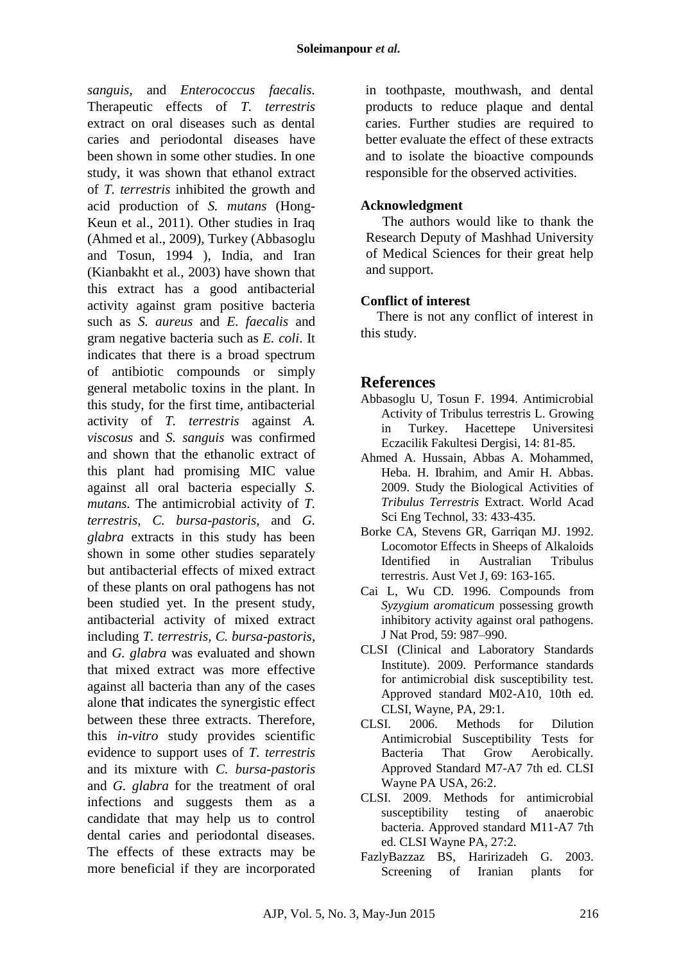*sanguis,* and *Enterococcus faecalis.*  Therapeutic effects of *T. terrestris* extract on oral diseases such as dental caries and periodontal diseases have been shown in some other studies. In one study, it was shown that ethanol extract of *T. terrestris* inhibited the growth and acid production of *S. mutans* (Hong-Keun et al., 2011). Other studies in Iraq (Ahmed et al., 2009), Turkey (Abbasoglu and Tosun, 1994 ), India, and Iran (Kianbakht et al., 2003) have shown that this extract has a good antibacterial activity against gram positive bacteria such as *S. aureus* and *E. faecalis* and gram negative bacteria such as *E. coli*. It indicates that there is a broad spectrum of antibiotic compounds or simply general metabolic toxins in the plant. In this study, for the first time, antibacterial activity of *T. terrestris* against *A. viscosus* and *S. sanguis* was confirmed and shown that the ethanolic extract of this plant had promising MIC value against all oral bacteria especially *S. mutans.* The antimicrobial activity of *T. terrestris, C. bursa-pastoris,* and *G. glabra* extracts in this study has been shown in some other studies separately but antibacterial effects of mixed extract of these plants on oral pathogens has not been studied yet. In the present study, antibacterial activity of mixed extract including *T. terrestris*, *C. bursa-pastoris*, and *G. glabra* was evaluated and shown that mixed extract was more effective against all bacteria than any of the cases alone that indicates the synergistic effect between these three extracts. Therefore, this *in-vitro* study provides scientific evidence to support uses of *T. terrestris* and its mixture with *C. bursa-pastoris* and *G. glabra* for the treatment of oral infections and suggests them as a candidate that may help us to control dental caries and periodontal diseases. The effects of these extracts may be more beneficial if they are incorporated in toothpaste, mouthwash, and dental products to reduce plaque and dental caries. Further studies are required to better evaluate the effect of these extracts and to isolate the bioactive compounds responsible for the observed activities.

#### **Acknowledgment**

The authors would like to thank the Research Deputy of Mashhad University of Medical Sciences for their great help and support.

### **Conflict of interest**

There is not any conflict of interest in this study.

# **References**

- Abbasoglu U, Tosun F. 1994. Antimicrobial Activity of Tribulus terrestris L. Growing in Turkey. Hacettepe Universitesi Eczacilik Fakultesi Dergisi, 14: 81-85.
- Ahmed A. Hussain, Abbas A. Mohammed, Heba. H. Ibrahim, and Amir H. Abbas. 2009. Study the Biological Activities of *Tribulus Terrestris* Extract. World Acad Sci Eng Technol, 33: 433-435.
- Borke CA, Stevens GR, Garriqan MJ. 1992. Locomotor Effects in Sheeps of Alkaloids Identified in Australian Tribulus terrestris. Aust Vet J, 69: 163-165.
- Cai L, Wu CD. 1996. Compounds from *Syzygium aromaticum* possessing growth inhibitory activity against oral pathogens. J Nat Prod, 59: 987–990.
- CLSI (Clinical and Laboratory Standards Institute). 2009. Performance standards for antimicrobial disk susceptibility test. Approved standard M02-A10*,* 10th ed. CLSI, Wayne, PA, 29:1.
- CLSI. 2006. Methods for Dilution Antimicrobial Susceptibility Tests for Bacteria That Grow Aerobically. Approved Standard M7-A7 7th ed. CLSI Wayne PA USA, 26:2.
- CLSI. 2009. Methods for antimicrobial susceptibility testing of anaerobic bacteria. Approved standard M11-A7 7th ed. CLSI Wayne PA, 27:2.
- FazlyBazzaz BS, Haririzadeh G. 2003. Screening of Iranian plants for